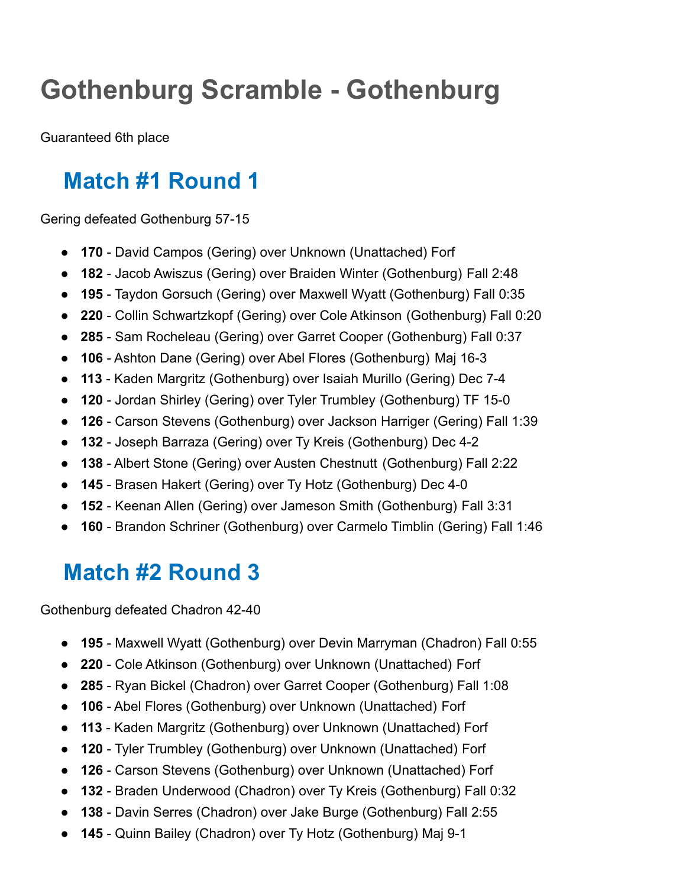# **Gothenburg Scramble - Gothenburg**

Guaranteed 6th place

## **Match #1 Round 1**

Gering defeated Gothenburg 57-15

- **170** David Campos (Gering) over Unknown (Unattached) Forf
- **182** Jacob Awiszus (Gering) over Braiden Winter (Gothenburg) Fall 2:48
- **195** Taydon Gorsuch (Gering) over Maxwell Wyatt (Gothenburg) Fall 0:35
- **220** Collin Schwartzkopf (Gering) over Cole Atkinson (Gothenburg) Fall 0:20
- **285** Sam Rocheleau (Gering) over Garret Cooper (Gothenburg) Fall 0:37
- **106** Ashton Dane (Gering) over Abel Flores (Gothenburg) Maj 16-3
- **113** Kaden Margritz (Gothenburg) over Isaiah Murillo (Gering) Dec 7-4
- **120** Jordan Shirley (Gering) over Tyler Trumbley (Gothenburg) TF 15-0
- **126** Carson Stevens (Gothenburg) over Jackson Harriger (Gering) Fall 1:39
- **132** Joseph Barraza (Gering) over Ty Kreis (Gothenburg) Dec 4-2
- **138** Albert Stone (Gering) over Austen Chestnutt (Gothenburg) Fall 2:22
- **145** Brasen Hakert (Gering) over Ty Hotz (Gothenburg) Dec 4-0
- **152** Keenan Allen (Gering) over Jameson Smith (Gothenburg) Fall 3:31
- **160** Brandon Schriner (Gothenburg) over Carmelo Timblin (Gering) Fall 1:46

## **Match #2 Round 3**

Gothenburg defeated Chadron 42-40

- **195** Maxwell Wyatt (Gothenburg) over Devin Marryman (Chadron) Fall 0:55
- **220** Cole Atkinson (Gothenburg) over Unknown (Unattached) Forf
- **285** Ryan Bickel (Chadron) over Garret Cooper (Gothenburg) Fall 1:08
- **106** Abel Flores (Gothenburg) over Unknown (Unattached) Forf
- **113** Kaden Margritz (Gothenburg) over Unknown (Unattached) Forf
- **120** Tyler Trumbley (Gothenburg) over Unknown (Unattached) Forf
- **126** Carson Stevens (Gothenburg) over Unknown (Unattached) Forf
- **132** Braden Underwood (Chadron) over Ty Kreis (Gothenburg) Fall 0:32
- **138** Davin Serres (Chadron) over Jake Burge (Gothenburg) Fall 2:55
- **145** Quinn Bailey (Chadron) over Ty Hotz (Gothenburg) Maj 9-1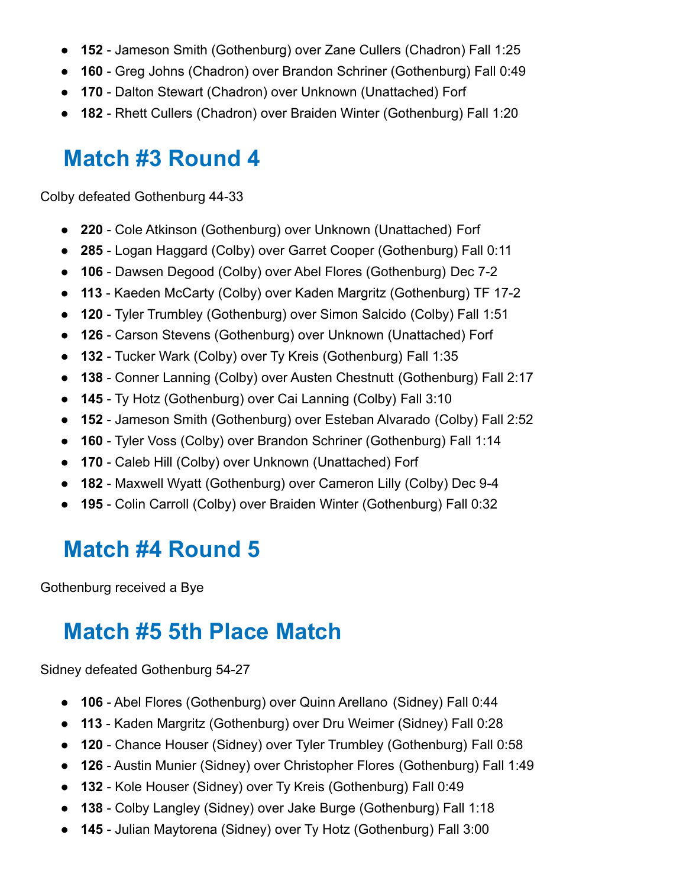- **152** Jameson Smith (Gothenburg) over Zane Cullers (Chadron) Fall 1:25
- **160** Greg Johns (Chadron) over Brandon Schriner (Gothenburg) Fall 0:49
- **170** Dalton Stewart (Chadron) over Unknown (Unattached) Forf
- **182** Rhett Cullers (Chadron) over Braiden Winter (Gothenburg) Fall 1:20

### **Match #3 Round 4**

Colby defeated Gothenburg 44-33

- **220** Cole Atkinson (Gothenburg) over Unknown (Unattached) Forf
- **285** Logan Haggard (Colby) over Garret Cooper (Gothenburg) Fall 0:11
- **106** Dawsen Degood (Colby) over Abel Flores (Gothenburg) Dec 7-2
- **113** Kaeden McCarty (Colby) over Kaden Margritz (Gothenburg) TF 17-2
- **120** Tyler Trumbley (Gothenburg) over Simon Salcido (Colby) Fall 1:51
- **126** Carson Stevens (Gothenburg) over Unknown (Unattached) Forf
- **132** Tucker Wark (Colby) over Ty Kreis (Gothenburg) Fall 1:35
- **138** Conner Lanning (Colby) over Austen Chestnutt (Gothenburg) Fall 2:17
- **145** Ty Hotz (Gothenburg) over Cai Lanning (Colby) Fall 3:10
- **152** Jameson Smith (Gothenburg) over Esteban Alvarado (Colby) Fall 2:52
- **160** Tyler Voss (Colby) over Brandon Schriner (Gothenburg) Fall 1:14
- **170** Caleb Hill (Colby) over Unknown (Unattached) Forf
- **182** Maxwell Wyatt (Gothenburg) over Cameron Lilly (Colby) Dec 9-4
- **195** Colin Carroll (Colby) over Braiden Winter (Gothenburg) Fall 0:32

### **Match #4 Round 5**

Gothenburg received a Bye

#### **Match #5 5th Place Match**

Sidney defeated Gothenburg 54-27

- **106** Abel Flores (Gothenburg) over Quinn Arellano (Sidney) Fall 0:44
- **113** Kaden Margritz (Gothenburg) over Dru Weimer (Sidney) Fall 0:28
- **120** Chance Houser (Sidney) over Tyler Trumbley (Gothenburg) Fall 0:58
- **126** Austin Munier (Sidney) over Christopher Flores (Gothenburg) Fall 1:49
- **132** Kole Houser (Sidney) over Ty Kreis (Gothenburg) Fall 0:49
- **138** Colby Langley (Sidney) over Jake Burge (Gothenburg) Fall 1:18
- **145** Julian Maytorena (Sidney) over Ty Hotz (Gothenburg) Fall 3:00